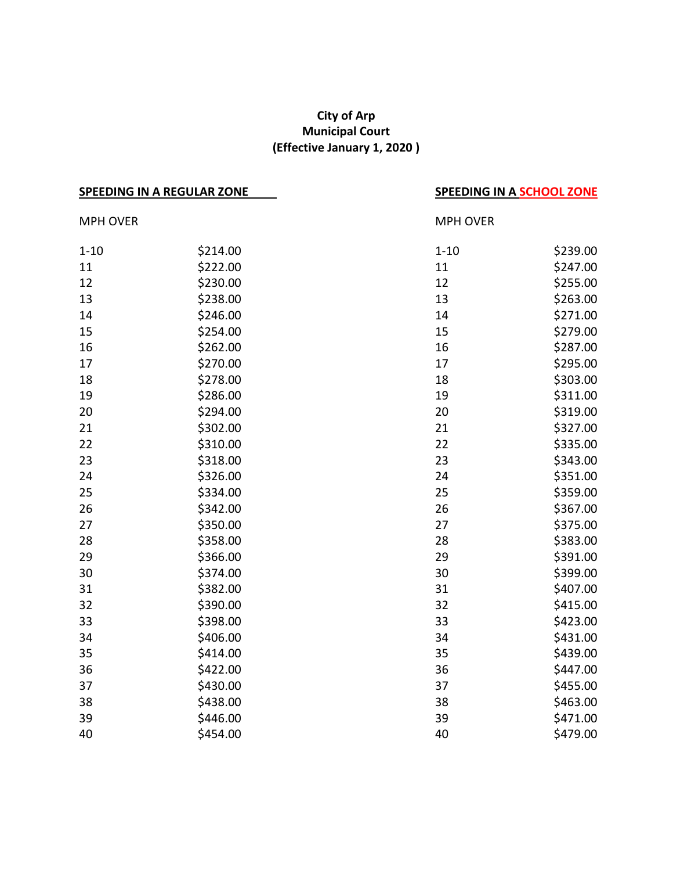## **City of Arp Municipal Court (Effective January 1, 2020 )**

| <b>SPEEDING IN A REGULAR ZONE</b> |          | <b>SPEEDING IN A SCHOOL ZONE</b> |          |
|-----------------------------------|----------|----------------------------------|----------|
| <b>MPH OVER</b>                   |          | <b>MPH OVER</b>                  |          |
| $1 - 10$                          | \$214.00 | $1 - 10$                         | \$239.00 |
| 11                                | \$222.00 | 11                               | \$247.00 |
| 12                                | \$230.00 | 12                               | \$255.00 |
| 13                                | \$238.00 | 13                               | \$263.00 |
| 14                                | \$246.00 | 14                               | \$271.00 |
| 15                                | \$254.00 | 15                               | \$279.00 |
| 16                                | \$262.00 | 16                               | \$287.00 |
| 17                                | \$270.00 | 17                               | \$295.00 |
| 18                                | \$278.00 | 18                               | \$303.00 |
| 19                                | \$286.00 | 19                               | \$311.00 |
| 20                                | \$294.00 | 20                               | \$319.00 |
| 21                                | \$302.00 | 21                               | \$327.00 |
| 22                                | \$310.00 | 22                               | \$335.00 |
| 23                                | \$318.00 | 23                               | \$343.00 |
| 24                                | \$326.00 | 24                               | \$351.00 |
| 25                                | \$334.00 | 25                               | \$359.00 |
| 26                                | \$342.00 | 26                               | \$367.00 |
| 27                                | \$350.00 | 27                               | \$375.00 |
| 28                                | \$358.00 | 28                               | \$383.00 |
| 29                                | \$366.00 | 29                               | \$391.00 |
| 30                                | \$374.00 | 30                               | \$399.00 |
| 31                                | \$382.00 | 31                               | \$407.00 |
| 32                                | \$390.00 | 32                               | \$415.00 |
| 33                                | \$398.00 | 33                               | \$423.00 |
| 34                                | \$406.00 | 34                               | \$431.00 |
| 35                                | \$414.00 | 35                               | \$439.00 |
| 36                                | \$422.00 | 36                               | \$447.00 |
| 37                                | \$430.00 | 37                               | \$455.00 |
| 38                                | \$438.00 | 38                               | \$463.00 |
| 39                                | \$446.00 | 39                               | \$471.00 |
| 40                                | \$454.00 | 40                               | \$479.00 |